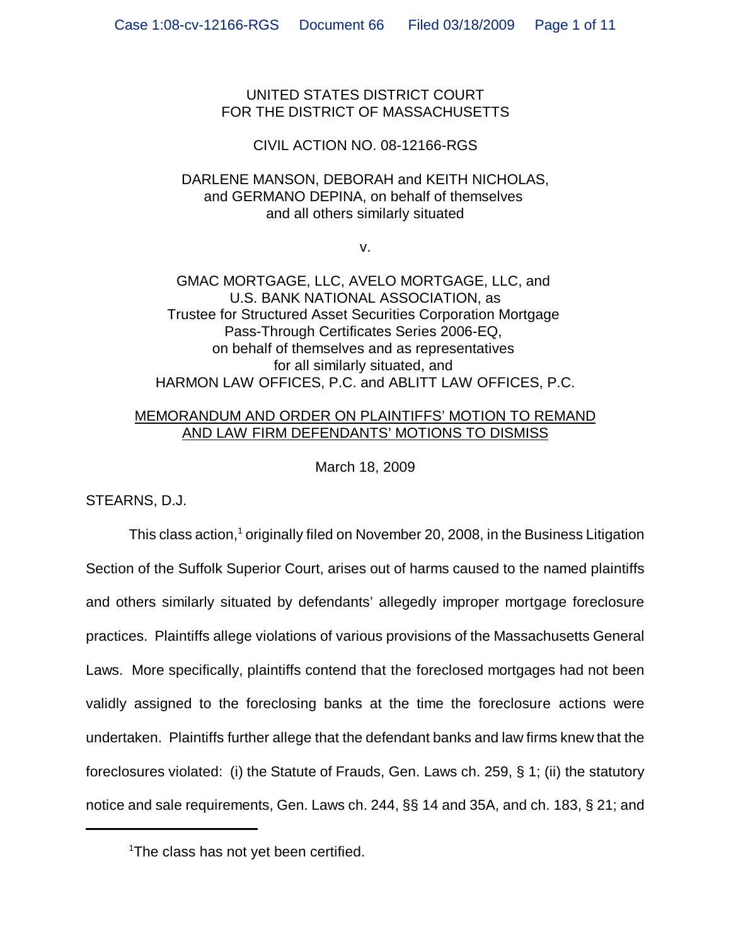UNITED STATES DISTRICT COURT FOR THE DISTRICT OF MASSACHUSETTS

# CIVIL ACTION NO. 08-12166-RGS

# DARLENE MANSON, DEBORAH and KEITH NICHOLAS, and GERMANO DEPINA, on behalf of themselves and all others similarly situated

v.

GMAC MORTGAGE, LLC, AVELO MORTGAGE, LLC, and U.S. BANK NATIONAL ASSOCIATION, as Trustee for Structured Asset Securities Corporation Mortgage Pass-Through Certificates Series 2006-EQ, on behalf of themselves and as representatives for all similarly situated, and HARMON LAW OFFICES, P.C. and ABLITT LAW OFFICES, P.C.

## MEMORANDUM AND ORDER ON PLAINTIFFS' MOTION TO REMAND AND LAW FIRM DEFENDANTS' MOTIONS TO DISMISS

March 18, 2009

STEARNS, D.J.

This class action,<sup>1</sup> originally filed on November 20, 2008, in the Business Litigation Section of the Suffolk Superior Court, arises out of harms caused to the named plaintiffs and others similarly situated by defendants' allegedly improper mortgage foreclosure practices. Plaintiffs allege violations of various provisions of the Massachusetts General Laws. More specifically, plaintiffs contend that the foreclosed mortgages had not been validly assigned to the foreclosing banks at the time the foreclosure actions were undertaken. Plaintiffs further allege that the defendant banks and law firms knew that the foreclosures violated: (i) the Statute of Frauds, Gen. Laws ch. 259, § 1; (ii) the statutory notice and sale requirements, Gen. Laws ch. 244, §§ 14 and 35A, and ch. 183, § 21; and

<sup>1</sup> The class has not yet been certified.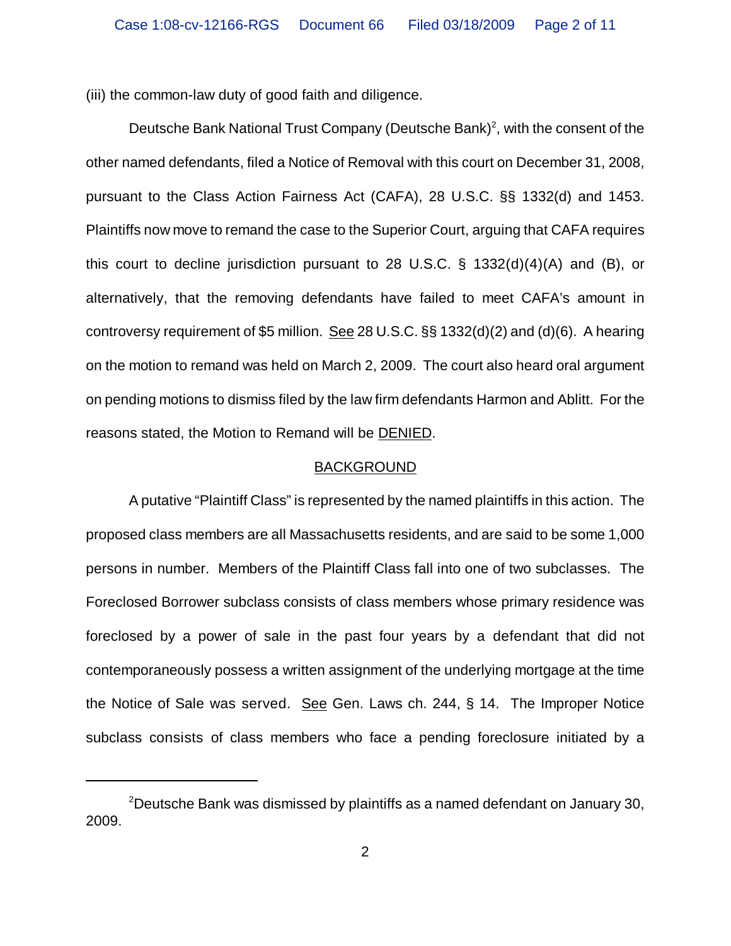(iii) the common-law duty of good faith and diligence.

Deutsche Bank National Trust Company (Deutsche Bank)<sup>2</sup>, with the consent of the other named defendants, filed a Notice of Removal with this court on December 31, 2008, pursuant to the Class Action Fairness Act (CAFA), 28 U.S.C. §§ 1332(d) and 1453. Plaintiffs now move to remand the case to the Superior Court, arguing that CAFA requires this court to decline jurisdiction pursuant to 28 U.S.C. § 1332(d)(4)(A) and (B), or alternatively, that the removing defendants have failed to meet CAFA's amount in controversy requirement of \$5 million. See 28 U.S.C. §§ 1332(d)(2) and (d)(6). A hearing on the motion to remand was held on March 2, 2009. The court also heard oral argument on pending motions to dismiss filed by the law firm defendants Harmon and Ablitt. For the reasons stated, the Motion to Remand will be DENIED.

### BACKGROUND

A putative "Plaintiff Class" is represented by the named plaintiffs in this action. The proposed class members are all Massachusetts residents, and are said to be some 1,000 persons in number. Members of the Plaintiff Class fall into one of two subclasses. The Foreclosed Borrower subclass consists of class members whose primary residence was foreclosed by a power of sale in the past four years by a defendant that did not contemporaneously possess a written assignment of the underlying mortgage at the time the Notice of Sale was served. See Gen. Laws ch. 244, § 14. The Improper Notice subclass consists of class members who face a pending foreclosure initiated by a

 $^{2}$ Deutsche Bank was dismissed by plaintiffs as a named defendant on January 30, 2009.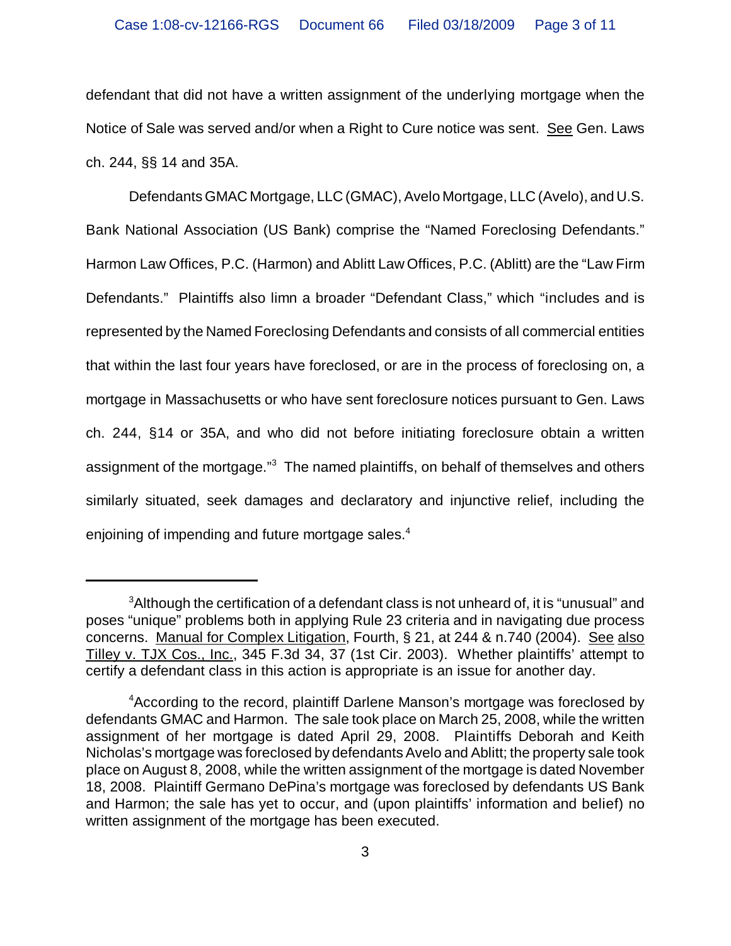defendant that did not have a written assignment of the underlying mortgage when the Notice of Sale was served and/or when a Right to Cure notice was sent. See Gen. Laws ch. 244, §§ 14 and 35A.

Defendants GMAC Mortgage, LLC (GMAC), Avelo Mortgage, LLC (Avelo), and U.S. Bank National Association (US Bank) comprise the "Named Foreclosing Defendants." Harmon Law Offices, P.C. (Harmon) and Ablitt Law Offices, P.C. (Ablitt) are the "Law Firm Defendants." Plaintiffs also limn a broader "Defendant Class," which "includes and is represented by the Named Foreclosing Defendants and consists of all commercial entities that within the last four years have foreclosed, or are in the process of foreclosing on, a mortgage in Massachusetts or who have sent foreclosure notices pursuant to Gen. Laws ch. 244, §14 or 35A, and who did not before initiating foreclosure obtain a written assignment of the mortgage."<sup>3</sup> The named plaintiffs, on behalf of themselves and others similarly situated, seek damages and declaratory and injunctive relief, including the enjoining of impending and future mortgage sales. $4$ 

 ${}^{3}$ Although the certification of a defendant class is not unheard of, it is "unusual" and poses "unique" problems both in applying Rule 23 criteria and in navigating due process concerns. Manual for Complex Litigation, Fourth, § 21, at 244 & n.740 (2004). See also Tilley v. TJX Cos., Inc., 345 F.3d 34, 37 (1st Cir. 2003). Whether plaintiffs' attempt to certify a defendant class in this action is appropriate is an issue for another day.

<sup>4</sup> According to the record, plaintiff Darlene Manson's mortgage was foreclosed by defendants GMAC and Harmon. The sale took place on March 25, 2008, while the written assignment of her mortgage is dated April 29, 2008. Plaintiffs Deborah and Keith Nicholas's mortgage was foreclosed by defendants Avelo and Ablitt; the property sale took place on August 8, 2008, while the written assignment of the mortgage is dated November 18, 2008. Plaintiff Germano DePina's mortgage was foreclosed by defendants US Bank and Harmon; the sale has yet to occur, and (upon plaintiffs' information and belief) no written assignment of the mortgage has been executed.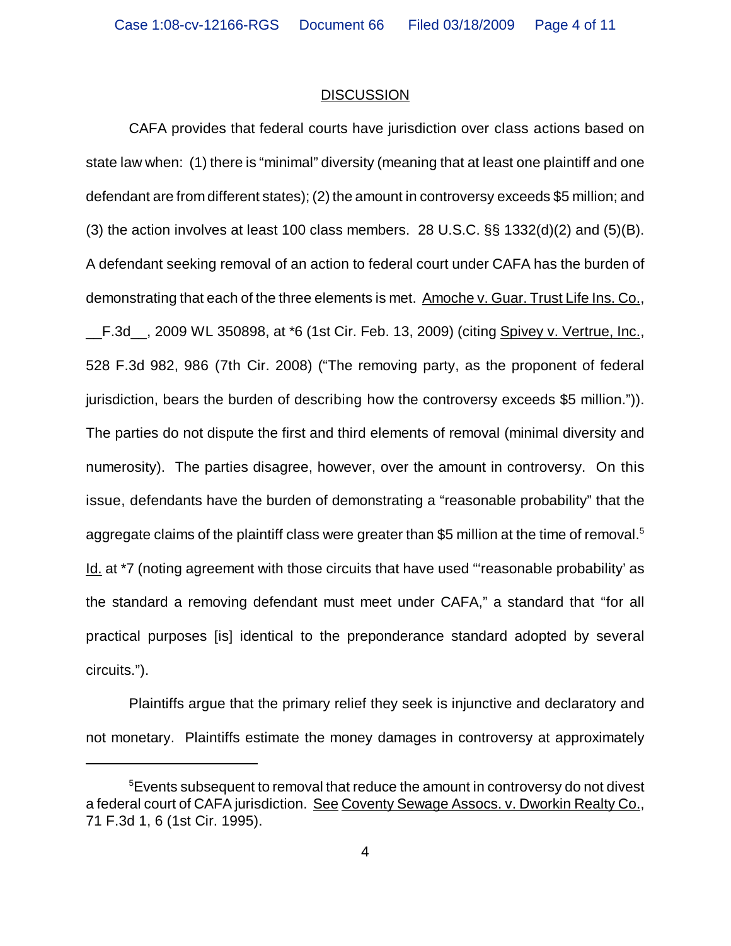#### **DISCUSSION**

CAFA provides that federal courts have jurisdiction over class actions based on state law when: (1) there is "minimal" diversity (meaning that at least one plaintiff and one defendant are from different states); (2) the amount in controversy exceeds \$5 million; and (3) the action involves at least 100 class members. 28 U.S.C.  $\S$ § 1332(d)(2) and (5)(B). A defendant seeking removal of an action to federal court under CAFA has the burden of demonstrating that each of the three elements is met. Amoche v. Guar. Trust Life Ins. Co., \_\_F.3d\_\_, 2009 WL 350898, at \*6 (1st Cir. Feb. 13, 2009) (citing Spivey v. Vertrue, Inc., 528 F.3d 982, 986 (7th Cir. 2008) ("The removing party, as the proponent of federal jurisdiction, bears the burden of describing how the controversy exceeds \$5 million.")). The parties do not dispute the first and third elements of removal (minimal diversity and numerosity). The parties disagree, however, over the amount in controversy. On this issue, defendants have the burden of demonstrating a "reasonable probability" that the aggregate claims of the plaintiff class were greater than \$5 million at the time of removal.<sup>5</sup> Id. at \*7 (noting agreement with those circuits that have used "reasonable probability' as the standard a removing defendant must meet under CAFA," a standard that "for all practical purposes [is] identical to the preponderance standard adopted by several circuits.").

Plaintiffs argue that the primary relief they seek is injunctive and declaratory and not monetary. Plaintiffs estimate the money damages in controversy at approximately

 $^5$ Events subsequent to removal that reduce the amount in controversy do not divest a federal court of CAFA jurisdiction. See Coventy Sewage Assocs. v. Dworkin Realty Co., 71 F.3d 1, 6 (1st Cir. 1995).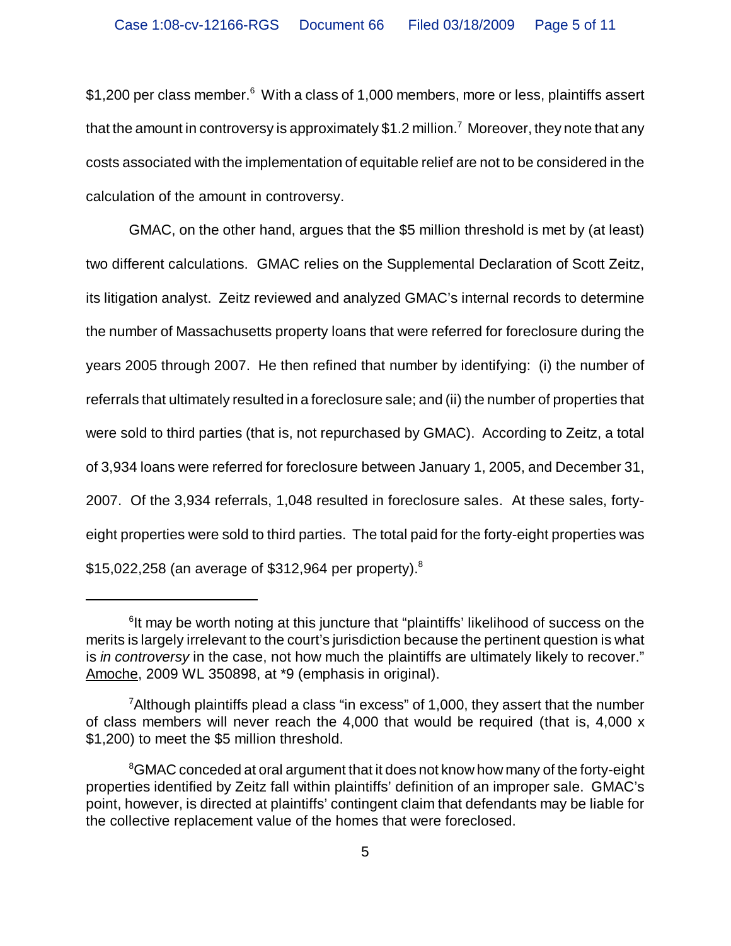$$1,200$  per class member. $^6\,$  With a class of 1,000 members, more or less, plaintiffs assert that the amount in controversy is approximately  $\$1.2$  million. $^7$  Moreover, they note that any costs associated with the implementation of equitable relief are not to be considered in the calculation of the amount in controversy.

GMAC, on the other hand, argues that the \$5 million threshold is met by (at least) two different calculations. GMAC relies on the Supplemental Declaration of Scott Zeitz, its litigation analyst. Zeitz reviewed and analyzed GMAC's internal records to determine the number of Massachusetts property loans that were referred for foreclosure during the years 2005 through 2007. He then refined that number by identifying: (i) the number of referrals that ultimately resulted in a foreclosure sale; and (ii) the number of properties that were sold to third parties (that is, not repurchased by GMAC). According to Zeitz, a total of 3,934 loans were referred for foreclosure between January 1, 2005, and December 31, 2007. Of the 3,934 referrals, 1,048 resulted in foreclosure sales. At these sales, fortyeight properties were sold to third parties. The total paid for the forty-eight properties was \$15,022,258 (an average of \$312,964 per property).<sup>8</sup>

<sup>&</sup>lt;sup>6</sup>It may be worth noting at this juncture that "plaintiffs' likelihood of success on the merits is largely irrelevant to the court's jurisdiction because the pertinent question is what is *in controversy* in the case, not how much the plaintiffs are ultimately likely to recover." Amoche, 2009 WL 350898, at \*9 (emphasis in original).

 $\mathrm{^{7}A}$ Ithough plaintiffs plead a class "in excess" of 1,000, they assert that the number of class members will never reach the 4,000 that would be required (that is, 4,000 x \$1,200) to meet the \$5 million threshold.

 ${}^{8}$ GMAC conceded at oral argument that it does not know how many of the forty-eight properties identified by Zeitz fall within plaintiffs' definition of an improper sale. GMAC's point, however, is directed at plaintiffs' contingent claim that defendants may be liable for the collective replacement value of the homes that were foreclosed.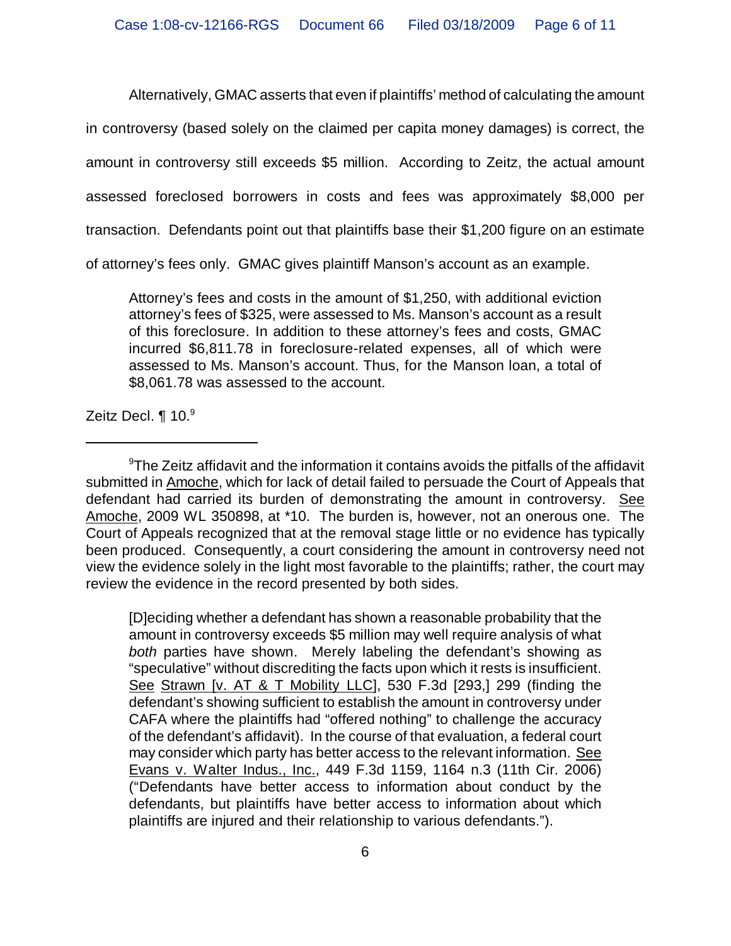Alternatively, GMAC asserts that even if plaintiffs' method of calculating the amount

in controversy (based solely on the claimed per capita money damages) is correct, the

amount in controversy still exceeds \$5 million. According to Zeitz, the actual amount

assessed foreclosed borrowers in costs and fees was approximately \$8,000 per

transaction. Defendants point out that plaintiffs base their \$1,200 figure on an estimate

of attorney's fees only. GMAC gives plaintiff Manson's account as an example.

Attorney's fees and costs in the amount of \$1,250, with additional eviction attorney's fees of \$325, were assessed to Ms. Manson's account as a result of this foreclosure. In addition to these attorney's fees and costs, GMAC incurred \$6,811.78 in foreclosure-related expenses, all of which were assessed to Ms. Manson's account. Thus, for the Manson loan, a total of \$8,061.78 was assessed to the account.

Zeitz Decl. ¶ 10.<sup>9</sup>

[D]eciding whether a defendant has shown a reasonable probability that the amount in controversy exceeds \$5 million may well require analysis of what *both* parties have shown. Merely labeling the defendant's showing as "speculative" without discrediting the facts upon which it rests is insufficient. See Strawn [v. AT & T Mobility LLC], 530 F.3d [293,] 299 (finding the defendant's showing sufficient to establish the amount in controversy under CAFA where the plaintiffs had "offered nothing" to challenge the accuracy of the defendant's affidavit). In the course of that evaluation, a federal court may consider which party has better access to the relevant information. See Evans v. Walter Indus., Inc., 449 F.3d 1159, 1164 n.3 (11th Cir. 2006) ("Defendants have better access to information about conduct by the defendants, but plaintiffs have better access to information about which plaintiffs are injured and their relationship to various defendants.").

 $^9$ The Zeitz affidavit and the information it contains avoids the pitfalls of the affidavit submitted in Amoche, which for lack of detail failed to persuade the Court of Appeals that defendant had carried its burden of demonstrating the amount in controversy. See Amoche, 2009 WL 350898, at \*10. The burden is, however, not an onerous one. The Court of Appeals recognized that at the removal stage little or no evidence has typically been produced. Consequently, a court considering the amount in controversy need not view the evidence solely in the light most favorable to the plaintiffs; rather, the court may review the evidence in the record presented by both sides.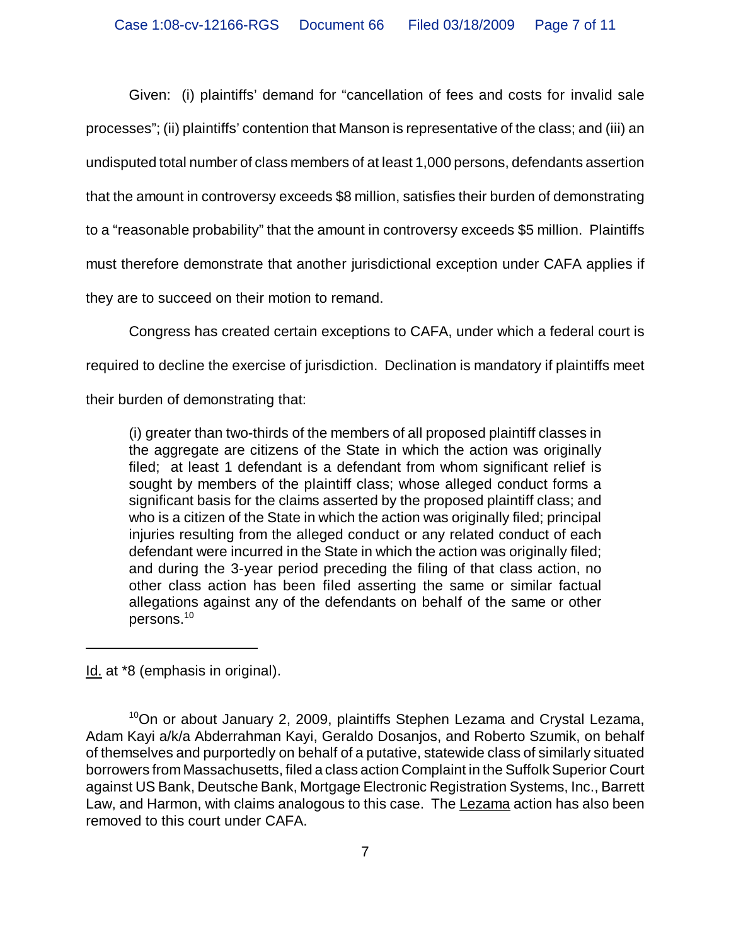Given: (i) plaintiffs' demand for "cancellation of fees and costs for invalid sale processes"; (ii) plaintiffs' contention that Manson is representative of the class; and (iii) an undisputed total number of class members of at least 1,000 persons, defendants assertion that the amount in controversy exceeds \$8 million, satisfies their burden of demonstrating to a "reasonable probability" that the amount in controversy exceeds \$5 million. Plaintiffs must therefore demonstrate that another jurisdictional exception under CAFA applies if they are to succeed on their motion to remand.

Congress has created certain exceptions to CAFA, under which a federal court is

required to decline the exercise of jurisdiction. Declination is mandatory if plaintiffs meet

their burden of demonstrating that:

(i) greater than two-thirds of the members of all proposed plaintiff classes in the aggregate are citizens of the State in which the action was originally filed; at least 1 defendant is a defendant from whom significant relief is sought by members of the plaintiff class; whose alleged conduct forms a significant basis for the claims asserted by the proposed plaintiff class; and who is a citizen of the State in which the action was originally filed; principal injuries resulting from the alleged conduct or any related conduct of each defendant were incurred in the State in which the action was originally filed; and during the 3-year period preceding the filing of that class action, no other class action has been filed asserting the same or similar factual allegations against any of the defendants on behalf of the same or other persons.<sup>10</sup>

Id. at \*8 (emphasis in original).

 $10$ On or about January 2, 2009, plaintiffs Stephen Lezama and Crystal Lezama, Adam Kayi a/k/a Abderrahman Kayi, Geraldo Dosanjos, and Roberto Szumik, on behalf of themselves and purportedly on behalf of a putative, statewide class of similarly situated borrowers from Massachusetts, filed a class action Complaint in the Suffolk Superior Court against US Bank, Deutsche Bank, Mortgage Electronic Registration Systems, Inc., Barrett Law, and Harmon, with claims analogous to this case. The Lezama action has also been removed to this court under CAFA.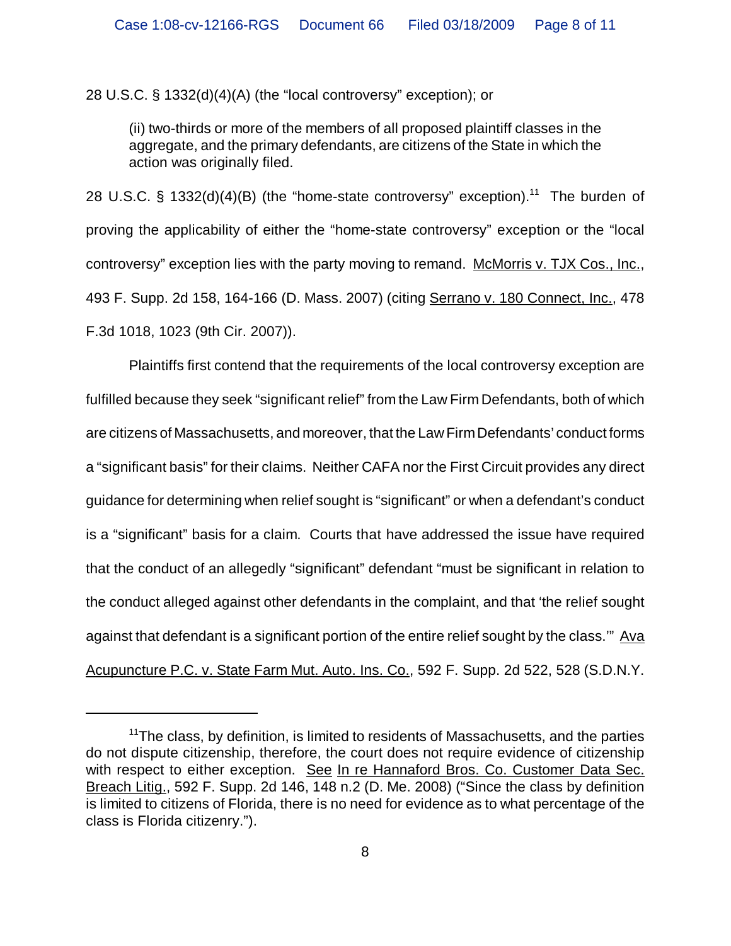28 U.S.C. § 1332(d)(4)(A) (the "local controversy" exception); or

(ii) two-thirds or more of the members of all proposed plaintiff classes in the aggregate, and the primary defendants, are citizens of the State in which the action was originally filed.

28 U.S.C. § 1332(d)(4)(B) (the "home-state controversy" exception).<sup>11</sup> The burden of proving the applicability of either the "home-state controversy" exception or the "local controversy" exception lies with the party moving to remand. McMorris v. TJX Cos., Inc., 493 F. Supp. 2d 158, 164-166 (D. Mass. 2007) (citing Serrano v. 180 Connect, Inc., 478 F.3d 1018, 1023 (9th Cir. 2007)).

Plaintiffs first contend that the requirements of the local controversy exception are fulfilled because they seek "significant relief" from the Law Firm Defendants, both of which are citizens of Massachusetts, and moreover, that the Law Firm Defendants' conduct forms a "significant basis" for their claims. Neither CAFA nor the First Circuit provides any direct guidance for determining when relief sought is "significant" or when a defendant's conduct is a "significant" basis for a claim. Courts that have addressed the issue have required that the conduct of an allegedly "significant" defendant "must be significant in relation to the conduct alleged against other defendants in the complaint, and that 'the relief sought against that defendant is a significant portion of the entire relief sought by the class."" Ava Acupuncture P.C. v. State Farm Mut. Auto. Ins. Co., 592 F. Supp. 2d 522, 528 (S.D.N.Y.

 $11$ The class, by definition, is limited to residents of Massachusetts, and the parties do not dispute citizenship, therefore, the court does not require evidence of citizenship with respect to either exception. See In re Hannaford Bros. Co. Customer Data Sec. Breach Litig., 592 F. Supp. 2d 146, 148 n.2 (D. Me. 2008) ("Since the class by definition is limited to citizens of Florida, there is no need for evidence as to what percentage of the class is Florida citizenry.").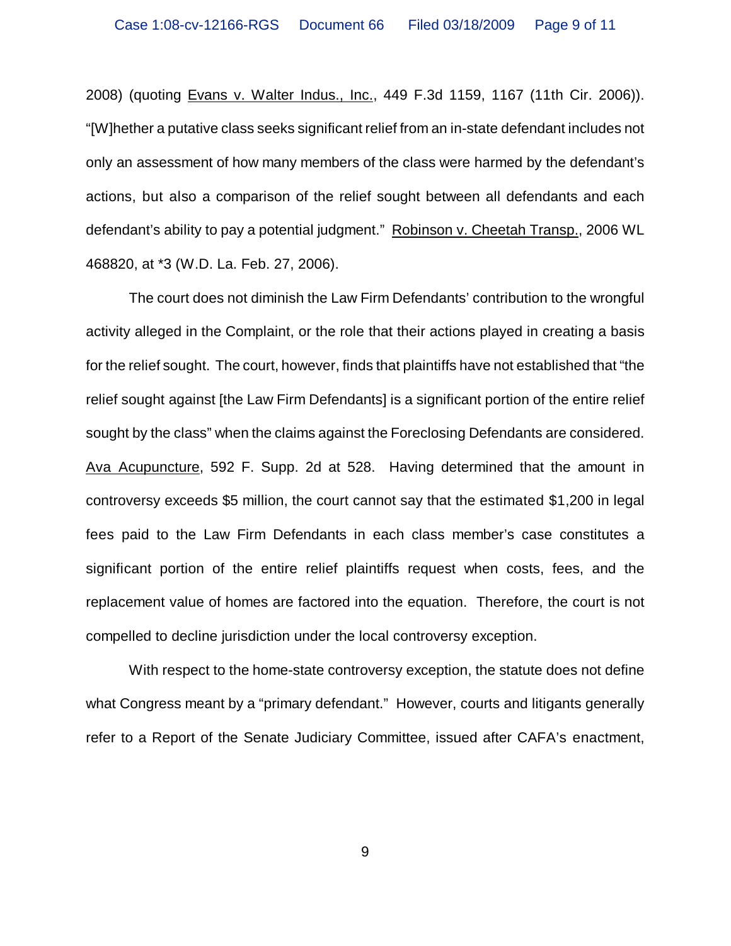2008) (quoting Evans v. Walter Indus., Inc., 449 F.3d 1159, 1167 (11th Cir. 2006)). "[W]hether a putative class seeks significant relief from an in-state defendant includes not only an assessment of how many members of the class were harmed by the defendant's actions, but also a comparison of the relief sought between all defendants and each defendant's ability to pay a potential judgment." Robinson v. Cheetah Transp., 2006 WL 468820, at \*3 (W.D. La. Feb. 27, 2006).

The court does not diminish the Law Firm Defendants' contribution to the wrongful activity alleged in the Complaint, or the role that their actions played in creating a basis for the relief sought. The court, however, finds that plaintiffs have not established that "the relief sought against [the Law Firm Defendants] is a significant portion of the entire relief sought by the class" when the claims against the Foreclosing Defendants are considered. Ava Acupuncture, 592 F. Supp. 2d at 528. Having determined that the amount in controversy exceeds \$5 million, the court cannot say that the estimated \$1,200 in legal fees paid to the Law Firm Defendants in each class member's case constitutes a significant portion of the entire relief plaintiffs request when costs, fees, and the replacement value of homes are factored into the equation. Therefore, the court is not compelled to decline jurisdiction under the local controversy exception.

With respect to the home-state controversy exception, the statute does not define what Congress meant by a "primary defendant." However, courts and litigants generally refer to a Report of the Senate Judiciary Committee, issued after CAFA's enactment,

9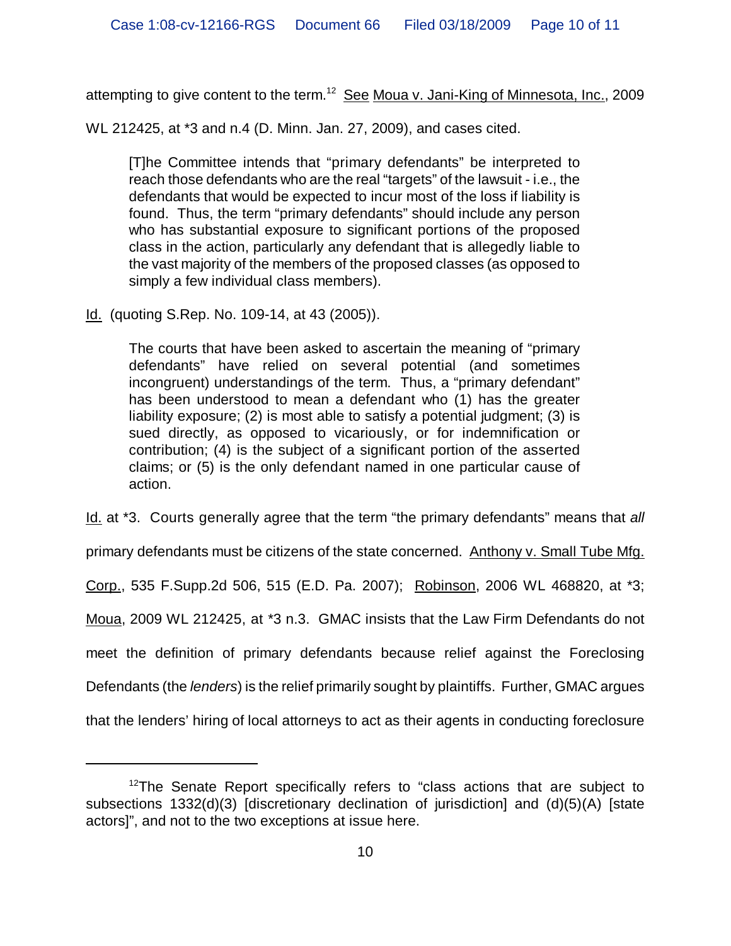attempting to give content to the term.<sup>12</sup> See Moua v. Jani-King of Minnesota, Inc., 2009

WL 212425, at \*3 and n.4 (D. Minn. Jan. 27, 2009), and cases cited.

[T]he Committee intends that "primary defendants" be interpreted to reach those defendants who are the real "targets" of the lawsuit - i.e., the defendants that would be expected to incur most of the loss if liability is found. Thus, the term "primary defendants" should include any person who has substantial exposure to significant portions of the proposed class in the action, particularly any defendant that is allegedly liable to the vast majority of the members of the proposed classes (as opposed to simply a few individual class members).

Id. (quoting S.Rep. No. 109-14, at 43 (2005)).

The courts that have been asked to ascertain the meaning of "primary defendants" have relied on several potential (and sometimes incongruent) understandings of the term. Thus, a "primary defendant" has been understood to mean a defendant who (1) has the greater liability exposure; (2) is most able to satisfy a potential judgment; (3) is sued directly, as opposed to vicariously, or for indemnification or contribution; (4) is the subject of a significant portion of the asserted claims; or (5) is the only defendant named in one particular cause of action.

Id. at \*3. Courts generally agree that the term "the primary defendants" means that *all*

primary defendants must be citizens of the state concerned. Anthony v. Small Tube Mfg.

Corp., 535 F.Supp.2d 506, 515 (E.D. Pa. 2007); Robinson, 2006 WL 468820, at \*3;

Moua, 2009 WL 212425, at \*3 n.3. GMAC insists that the Law Firm Defendants do not

meet the definition of primary defendants because relief against the Foreclosing

Defendants (the *lenders*) is the relief primarily sought by plaintiffs. Further, GMAC argues

that the lenders' hiring of local attorneys to act as their agents in conducting foreclosure

 $12$ The Senate Report specifically refers to "class actions that are subject to subsections 1332(d)(3) [discretionary declination of jurisdiction] and (d)(5)(A) [state actors]", and not to the two exceptions at issue here.